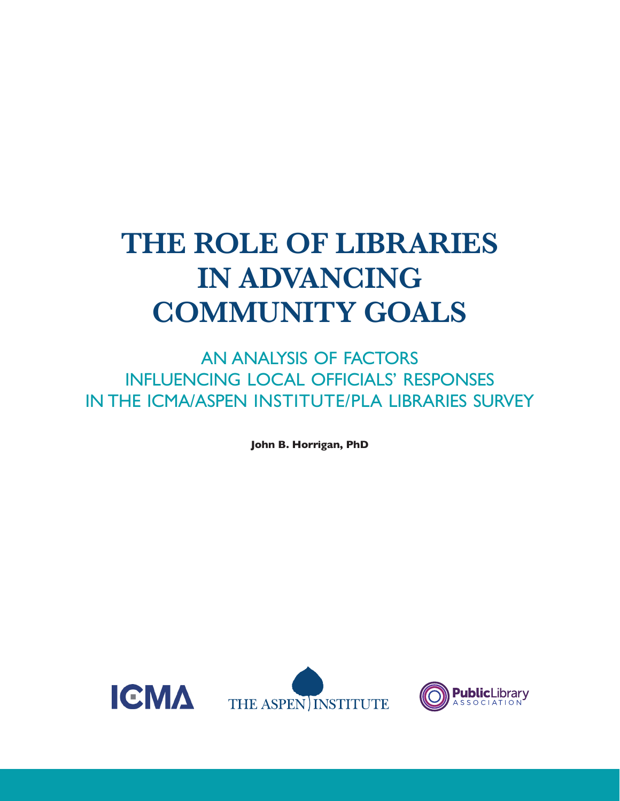# **THE ROLE OF LIBRARIES IN ADVANCING COMMUNITY GOALS**

AN ANALYSIS OF FACTORS INFLUENCING LOCAL OFFICIALS' RESPONSES IN THE ICMA/ASPEN INSTITUTE/PLA LIBRARIES SURVEY

**John B. Horrigan, PhD**



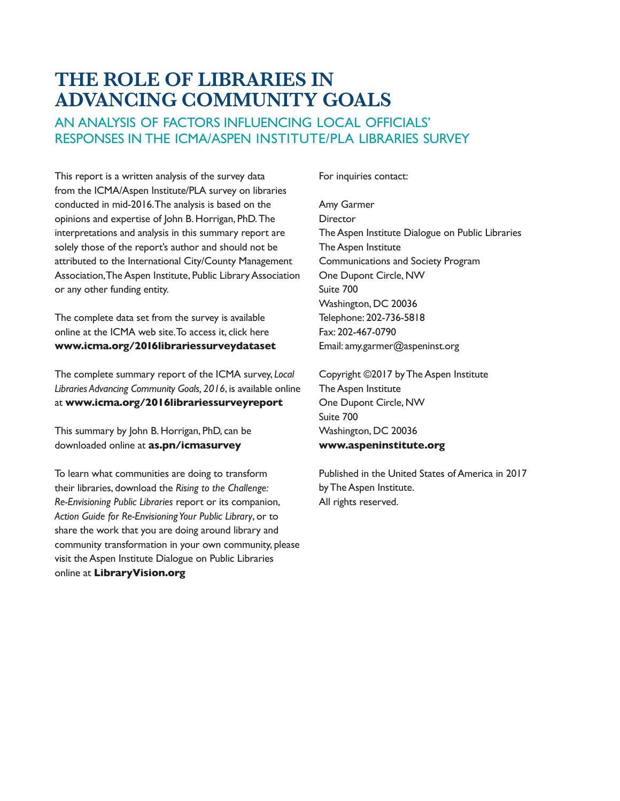# **THE ROLE OF LIBRARIES IN ADVANCING COMMUNITY GOALS**

# AN ANALYSIS OF FACTORS INFLUENCING LOCAL OFFICIALS' RESPONSES IN THE ICMA/ASPEN INSTITUTE/PLA LIBRARIES SURVEY

This report is a written analysis of the survey data from the ICMA/Aspen Institute/PLA survey on libraries conducted in mid-2016. The analysis is based on the opinions and expertise of John B. Horrigan, PhD. The interpretations and analysis in this summary report are solely those of the report's author and should not be attributed to the International City/County Management Association, The Aspen Institute, Public Library Association or any other funding entity.

The complete data set from the survey is available online at the ICMA web site. To access it, click here **[www.icma.org/2016librariessurveydataset](http://www.icma.org/2016librariessurveydataset)**

The complete summary report of the ICMA survey, *Local Libraries Advancing Community Goals, 2016*, is available online at **[www.icma.org/2016librariessurveyreport](http://www.icma.org/2016librariessurveyreport)**

This summary by John B. Horrigan, PhD, can be downloaded online at **[as.pn/icmasurvey](https://www.aspeninstitute.org/publications/icma-survey-results-analysis)**

To learn what communities are doing to transform their libraries, download the *Rising to the Challenge: Re-Envisioning Public Libraries* report or its companion, *Action Guide for Re-Envisioning Your Public Library*, or to share the work that you are doing around library and community transformation in your own community, please visit the Aspen Institute Dialogue on Public Libraries online at **[LibraryVision.org](http://www.libraryvision.org/)**

For inquiries contact:

Amy Garmer **Director** The Aspen Institute Dialogue on Public Libraries The Aspen Institute Communications and Society Program One Dupont Circle, NW Suite 700 Washington, DC 20036 Telephone: 202-736-5818 Fax: 202-467-0790 Email: [amy.garmer@aspeninst.org](mailto:amy.garmer@aspeninst.org)

Copyright ©2017 by The Aspen Institute The Aspen Institute One Dupont Circle, NW Suite 700 Washington, DC 20036 **[www.aspeninstitute.org](http://www.aspeninstitute.org)**

Published in the United States of America in 2017 by The Aspen Institute. All rights reserved.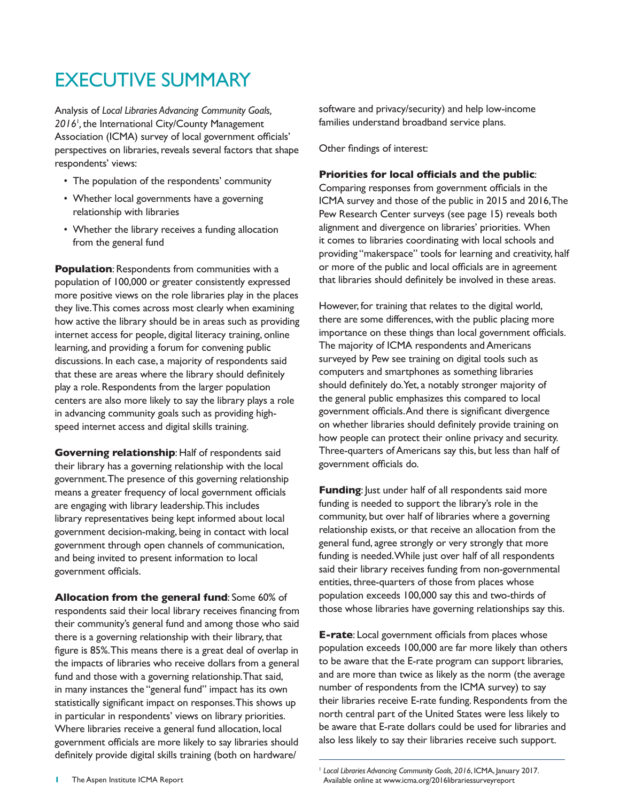# EXECUTIVE SUMMARY

Analysis of *Local Libraries Advancing Community Goals,*  2016<sup>1</sup>, the International City/County Management Association (ICMA) survey of local government officials' perspectives on libraries, reveals several factors that shape respondents' views:

- The population of the respondents' community
- Whether local governments have a governing relationship with libraries
- Whether the library receives a funding allocation from the general fund

**Population**: Respondents from communities with a population of 100,000 or greater consistently expressed more positive views on the role libraries play in the places they live. This comes across most clearly when examining how active the library should be in areas such as providing internet access for people, digital literacy training, online learning, and providing a forum for convening public discussions. In each case, a majority of respondents said that these are areas where the library should definitely play a role. Respondents from the larger population centers are also more likely to say the library plays a role in advancing community goals such as providing highspeed internet access and digital skills training.

**Governing relationship**: Half of respondents said their library has a governing relationship with the local government. The presence of this governing relationship means a greater frequency of local government officials are engaging with library leadership. This includes library representatives being kept informed about local government decision-making, being in contact with local government through open channels of communication, and being invited to present information to local government officials.

**Allocation from the general fund**: Some 60% of respondents said their local library receives financing from their community's general fund and among those who said there is a governing relationship with their library, that figure is 85%. This means there is a great deal of overlap in the impacts of libraries who receive dollars from a general fund and those with a governing relationship. That said, in many instances the "general fund" impact has its own statistically significant impact on responses. This shows up in particular in respondents' views on library priorities. Where libraries receive a general fund allocation, local government officials are more likely to say libraries should definitely provide digital skills training (both on hardware/

software and privacy/security) and help low-income families understand broadband service plans.

Other findings of interest:

### **Priorities for local officials and the public**:

Comparing responses from government officials in the ICMA survey and those of the public in 2015 and 2016, The Pew Research Center surveys (see page 15) reveals both alignment and divergence on libraries' priorities. When it comes to libraries coordinating with local schools and providing "makerspace" tools for learning and creativity, half or more of the public and local officials are in agreement that libraries should definitely be involved in these areas.

However, for training that relates to the digital world, there are some differences, with the public placing more importance on these things than local government officials. The majority of ICMA respondents and Americans surveyed by Pew see training on digital tools such as computers and smartphones as something libraries should definitely do. Yet, a notably stronger majority of the general public emphasizes this compared to local government officials. And there is significant divergence on whether libraries should definitely provide training on how people can protect their online privacy and security. Three-quarters of Americans say this, but less than half of government officials do.

**Funding:** Just under half of all respondents said more funding is needed to support the library's role in the community, but over half of libraries where a governing relationship exists, or that receive an allocation from the general fund, agree strongly or very strongly that more funding is needed. While just over half of all respondents said their library receives funding from non-governmental entities, three-quarters of those from places whose population exceeds 100,000 say this and two-thirds of those whose libraries have governing relationships say this.

**E-rate**: Local government officials from places whose population exceeds 100,000 are far more likely than others to be aware that the E-rate program can support libraries, and are more than twice as likely as the norm (the average number of respondents from the ICMA survey) to say their libraries receive E-rate funding. Respondents from the north central part of the United States were less likely to be aware that E-rate dollars could be used for libraries and also less likely to say their libraries receive such support.

**<sup>1</sup>** The Aspen Institute ICMA Report

<sup>1</sup> *Local Libraries Advancing Community Goals, 2016*, ICMA, January 2017. Available online at [www.icma.org/2016librariessurveyreport](http://www.icma.org/2016librariessurveyreport)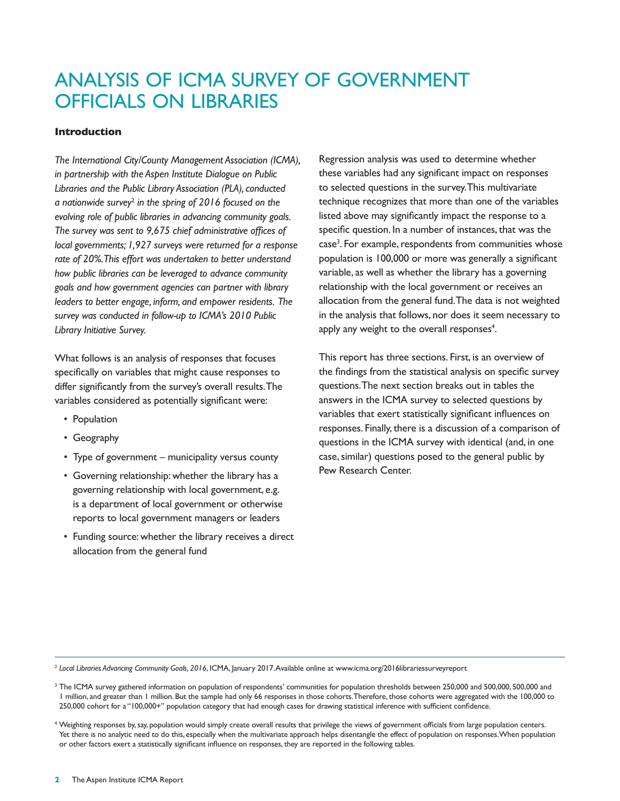# ANALYSIS OF ICMA SURVEY OF GOVERNMENT OFFICIALS ON LIBRARIES

### **Introduction**

*The International City/County Management Association (ICMA), in partnership with the Aspen Institute Dialogue on Public Libraries and the Public Library Association (PLA), conducted a nationwide survey*<sup>2</sup>  *in the spring of 2016 focused on the evolving role of public libraries in advancing community goals. The survey was sent to 9,675 chief administrative offices of local governments; 1,927 surveys were returned for a response rate of 20%. This effort was undertaken to better understand how public libraries can be leveraged to advance community goals and how government agencies can partner with library leaders to better engage, inform, and empower residents. The survey was conducted in follow-up to ICMA's 2010 Public Library Initiative Survey.* 

What follows is an analysis of responses that focuses specifically on variables that might cause responses to differ significantly from the survey's overall results. The variables considered as potentially significant were:

- Population
- Geography
- Type of government municipality versus county
- Governing relationship: whether the library has a governing relationship with local government, e.g. is a department of local government or otherwise reports to local government managers or leaders
- Funding source: whether the library receives a direct allocation from the general fund

Regression analysis was used to determine whether these variables had any significant impact on responses to selected questions in the survey. This multivariate technique recognizes that more than one of the variables listed above may significantly impact the response to a specific question. In a number of instances, that was the case<sup>3</sup>. For example, respondents from communities whose population is 100,000 or more was generally a significant variable, as well as whether the library has a governing relationship with the local government or receives an allocation from the general fund. The data is not weighted in the analysis that follows, nor does it seem necessary to apply any weight to the overall responses $4$ .

This report has three sections. First, is an overview of the findings from the statistical analysis on specific survey questions. The next section breaks out in tables the answers in the ICMA survey to selected questions by variables that exert statistically significant influences on responses. Finally, there is a discussion of a comparison of questions in the ICMA survey with identical (and, in one case, similar) questions posed to the general public by Pew Research Center.

<sup>2</sup> *Local Libraries Advancing Community Goals, 2016*, ICMA, January 2017. Available online at [www.icma.org/2016librariessurveyreport](http://www.icma.org/2016librariessurveyreport)

<sup>&</sup>lt;sup>3</sup> The ICMA survey gathered information on population of respondents' communities for population thresholds between 250,000 and 500,000, 500,000 and 1 million, and greater than 1 million. But the sample had only 66 responses in those cohorts. Therefore, those cohorts were aggregated with the 100,000 to 250,000 cohort for a "100,000+" population category that had enough cases for drawing statistical inference with sufficient confidence.

<sup>4</sup> Weighting responses by, say, population would simply create overall results that privilege the views of government officials from large population centers. Yet there is no analytic need to do this, especially when the multivariate approach helps disentangle the effect of population on responses. When population or other factors exert a statistically significant influence on responses, they are reported in the following tables.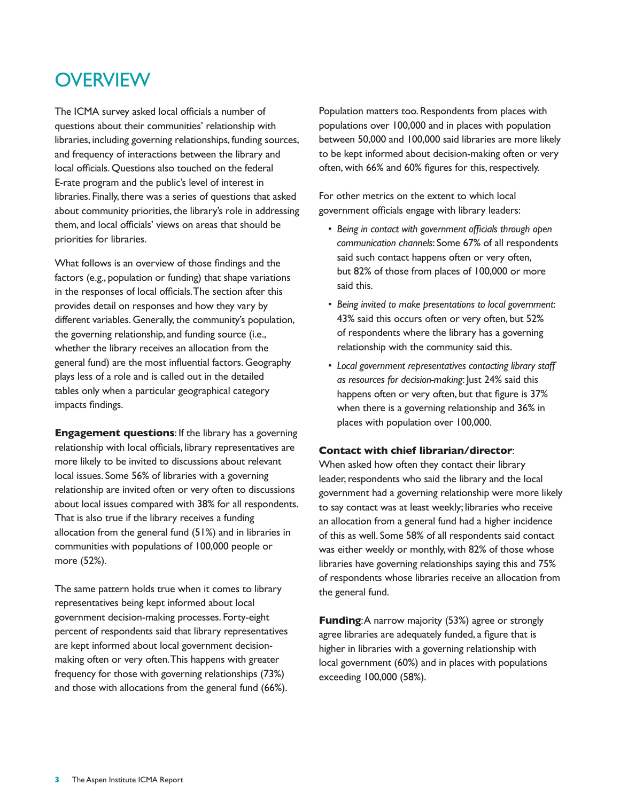# **OVERVIEW**

The ICMA survey asked local officials a number of questions about their communities' relationship with libraries, including governing relationships, funding sources, and frequency of interactions between the library and local officials. Questions also touched on the federal E-rate program and the public's level of interest in libraries. Finally, there was a series of questions that asked about community priorities, the library's role in addressing them, and local officials' views on areas that should be priorities for libraries.

What follows is an overview of those findings and the factors (e.g., population or funding) that shape variations in the responses of local officials. The section after this provides detail on responses and how they vary by different variables. Generally, the community's population, the governing relationship, and funding source (i.e., whether the library receives an allocation from the general fund) are the most influential factors. Geography plays less of a role and is called out in the detailed tables only when a particular geographical category impacts findings.

**Engagement questions**: If the library has a governing relationship with local officials, library representatives are more likely to be invited to discussions about relevant local issues. Some 56% of libraries with a governing relationship are invited often or very often to discussions about local issues compared with 38% for all respondents. That is also true if the library receives a funding allocation from the general fund (51%) and in libraries in communities with populations of 100,000 people or more (52%).

The same pattern holds true when it comes to library representatives being kept informed about local government decision-making processes. Forty-eight percent of respondents said that library representatives are kept informed about local government decisionmaking often or very often. This happens with greater frequency for those with governing relationships (73%) and those with allocations from the general fund (66%). Population matters too. Respondents from places with populations over 100,000 and in places with population between 50,000 and 100,000 said libraries are more likely to be kept informed about decision-making often or very often, with 66% and 60% figures for this, respectively.

For other metrics on the extent to which local government officials engage with library leaders:

- *• Being in contact with government officials through open communication channels*: Some 67% of all respondents said such contact happens often or very often, but 82% of those from places of 100,000 or more said this.
- *• Being invited to make presentations to local government*: 43% said this occurs often or very often, but 52% of respondents where the library has a governing relationship with the community said this.
- *• Local government representatives contacting library staff as resources for decision-making*: Just 24% said this happens often or very often, but that figure is 37% when there is a governing relationship and 36% in places with population over 100,000.

### **Contact with chief librarian/director**:

When asked how often they contact their library leader, respondents who said the library and the local government had a governing relationship were more likely to say contact was at least weekly; libraries who receive an allocation from a general fund had a higher incidence of this as well. Some 58% of all respondents said contact was either weekly or monthly, with 82% of those whose libraries have governing relationships saying this and 75% of respondents whose libraries receive an allocation from the general fund.

**Funding:** A narrow majority (53%) agree or strongly agree libraries are adequately funded, a figure that is higher in libraries with a governing relationship with local government (60%) and in places with populations exceeding 100,000 (58%).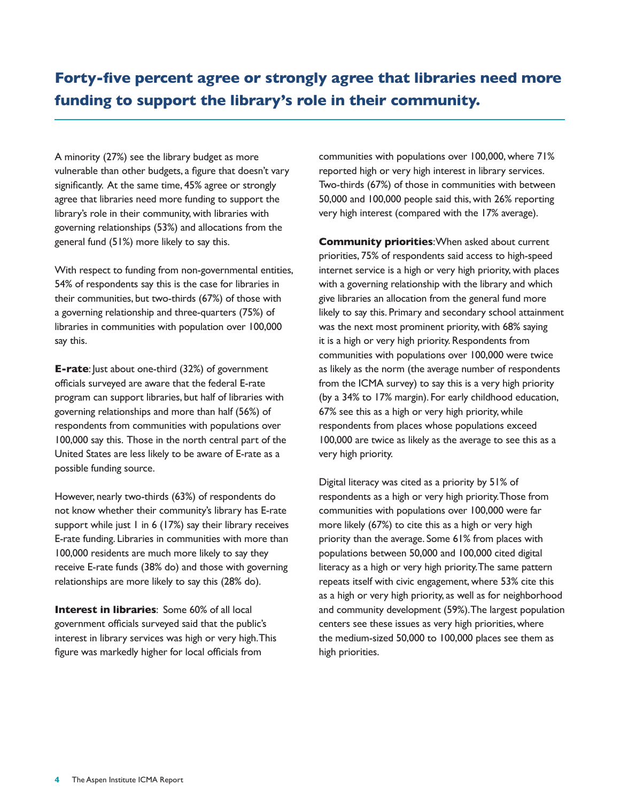A minority (27%) see the library budget as more vulnerable than other budgets, a figure that doesn't vary significantly. At the same time, 45% agree or strongly agree that libraries need more funding to support the library's role in their community, with libraries with governing relationships (53%) and allocations from the general fund (51%) more likely to say this.

With respect to funding from non-governmental entities, 54% of respondents say this is the case for libraries in their communities, but two-thirds (67%) of those with a governing relationship and three-quarters (75%) of libraries in communities with population over 100,000 say this.

**E-rate**: Just about one-third (32%) of government officials surveyed are aware that the federal E-rate program can support libraries, but half of libraries with governing relationships and more than half (56%) of respondents from communities with populations over 100,000 say this. Those in the north central part of the United States are less likely to be aware of E-rate as a possible funding source.

However, nearly two-thirds (63%) of respondents do not know whether their community's library has E-rate support while just 1 in 6 (17%) say their library receives E-rate funding. Libraries in communities with more than 100,000 residents are much more likely to say they receive E-rate funds (38% do) and those with governing relationships are more likely to say this (28% do).

**Interest in libraries**: Some 60% of all local government officials surveyed said that the public's interest in library services was high or very high. This figure was markedly higher for local officials from

communities with populations over 100,000, where 71% reported high or very high interest in library services. Two-thirds (67%) of those in communities with between 50,000 and 100,000 people said this, with 26% reporting very high interest (compared with the 17% average).

**Community priorities**: When asked about current priorities, 75% of respondents said access to high-speed internet service is a high or very high priority, with places with a governing relationship with the library and which give libraries an allocation from the general fund more likely to say this. Primary and secondary school attainment was the next most prominent priority, with 68% saying it is a high or very high priority. Respondents from communities with populations over 100,000 were twice as likely as the norm (the average number of respondents from the ICMA survey) to say this is a very high priority (by a 34% to 17% margin). For early childhood education, 67% see this as a high or very high priority, while respondents from places whose populations exceed 100,000 are twice as likely as the average to see this as a very high priority.

Digital literacy was cited as a priority by 51% of respondents as a high or very high priority. Those from communities with populations over 100,000 were far more likely (67%) to cite this as a high or very high priority than the average. Some 61% from places with populations between 50,000 and 100,000 cited digital literacy as a high or very high priority. The same pattern repeats itself with civic engagement, where 53% cite this as a high or very high priority, as well as for neighborhood and community development (59%). The largest population centers see these issues as very high priorities, where the medium-sized 50,000 to 100,000 places see them as high priorities.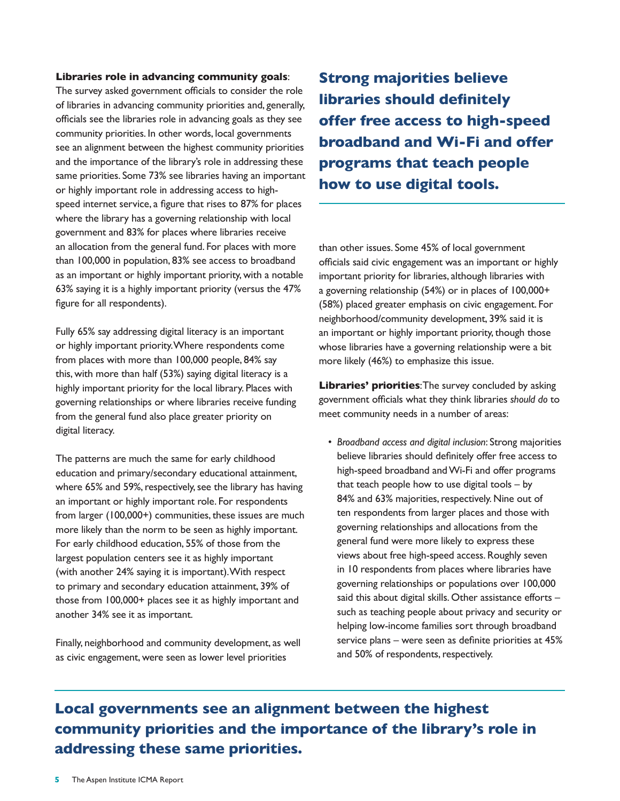#### **Libraries role in advancing community goals**:

The survey asked government officials to consider the role of libraries in advancing community priorities and, generally, officials see the libraries role in advancing goals as they see community priorities. In other words, local governments see an alignment between the highest community priorities and the importance of the library's role in addressing these same priorities. Some 73% see libraries having an important or highly important role in addressing access to highspeed internet service, a figure that rises to 87% for places where the library has a governing relationship with local government and 83% for places where libraries receive an allocation from the general fund. For places with more than 100,000 in population, 83% see access to broadband as an important or highly important priority, with a notable 63% saying it is a highly important priority (versus the 47% figure for all respondents).

Fully 65% say addressing digital literacy is an important or highly important priority. Where respondents come from places with more than 100,000 people, 84% say this, with more than half (53%) saying digital literacy is a highly important priority for the local library. Places with governing relationships or where libraries receive funding from the general fund also place greater priority on digital literacy.

The patterns are much the same for early childhood education and primary/secondary educational attainment, where 65% and 59%, respectively, see the library has having an important or highly important role. For respondents from larger (100,000+) communities, these issues are much more likely than the norm to be seen as highly important. For early childhood education, 55% of those from the largest population centers see it as highly important (with another 24% saying it is important). With respect to primary and secondary education attainment, 39% of those from 100,000+ places see it as highly important and another 34% see it as important.

Finally, neighborhood and community development, as well as civic engagement, were seen as lower level priorities

**Strong majorities believe libraries should definitely offer free access to high-speed broadband and Wi-Fi and offer programs that teach people how to use digital tools.**

than other issues. Some 45% of local government officials said civic engagement was an important or highly important priority for libraries, although libraries with a governing relationship (54%) or in places of 100,000+ (58%) placed greater emphasis on civic engagement. For neighborhood/community development, 39% said it is an important or highly important priority, though those whose libraries have a governing relationship were a bit more likely (46%) to emphasize this issue.

**Libraries' priorities:** The survey concluded by asking government officials what they think libraries *should do* to meet community needs in a number of areas:

*• Broadband access and digital inclusion*: Strong majorities believe libraries should definitely offer free access to high-speed broadband and Wi-Fi and offer programs that teach people how to use digital tools – by 84% and 63% majorities, respectively. Nine out of ten respondents from larger places and those with governing relationships and allocations from the general fund were more likely to express these views about free high-speed access. Roughly seven in 10 respondents from places where libraries have governing relationships or populations over 100,000 said this about digital skills. Other assistance efforts – such as teaching people about privacy and security or helping low-income families sort through broadband service plans – were seen as definite priorities at 45% and 50% of respondents, respectively.

# **Local governments see an alignment between the highest community priorities and the importance of the library's role in addressing these same priorities.**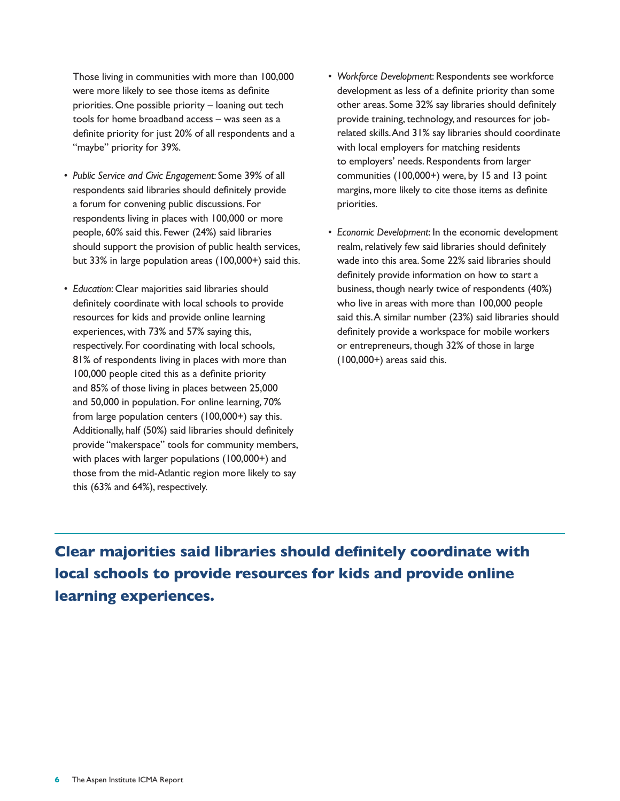Those living in communities with more than 100,000 were more likely to see those items as definite priorities. One possible priority – loaning out tech tools for home broadband access – was seen as a definite priority for just 20% of all respondents and a "maybe" priority for 39%.

- *• Public Service and Civic Engagement*: Some 39% of all respondents said libraries should definitely provide a forum for convening public discussions. For respondents living in places with 100,000 or more people, 60% said this. Fewer (24%) said libraries should support the provision of public health services, but 33% in large population areas (100,000+) said this.
- *• Education*: Clear majorities said libraries should definitely coordinate with local schools to provide resources for kids and provide online learning experiences, with 73% and 57% saying this, respectively. For coordinating with local schools, 81% of respondents living in places with more than 100,000 people cited this as a definite priority and 85% of those living in places between 25,000 and 50,000 in population. For online learning, 70% from large population centers (100,000+) say this. Additionally, half (50%) said libraries should definitely provide "makerspace" tools for community members, with places with larger populations (100,000+) and those from the mid-Atlantic region more likely to say this (63% and 64%), respectively.
- *• Workforce Development*: Respondents see workforce development as less of a definite priority than some other areas. Some 32% say libraries should definitely provide training, technology, and resources for jobrelated skills. And 31% say libraries should coordinate with local employers for matching residents to employers' needs. Respondents from larger communities (100,000+) were, by 15 and 13 point margins, more likely to cite those items as definite priorities.
- *• Economic Development*: In the economic development realm, relatively few said libraries should definitely wade into this area. Some 22% said libraries should definitely provide information on how to start a business, though nearly twice of respondents (40%) who live in areas with more than 100,000 people said this. A similar number (23%) said libraries should definitely provide a workspace for mobile workers or entrepreneurs, though 32% of those in large  $(100,000+)$  areas said this.

**Clear majorities said libraries should definitely coordinate with local schools to provide resources for kids and provide online learning experiences.**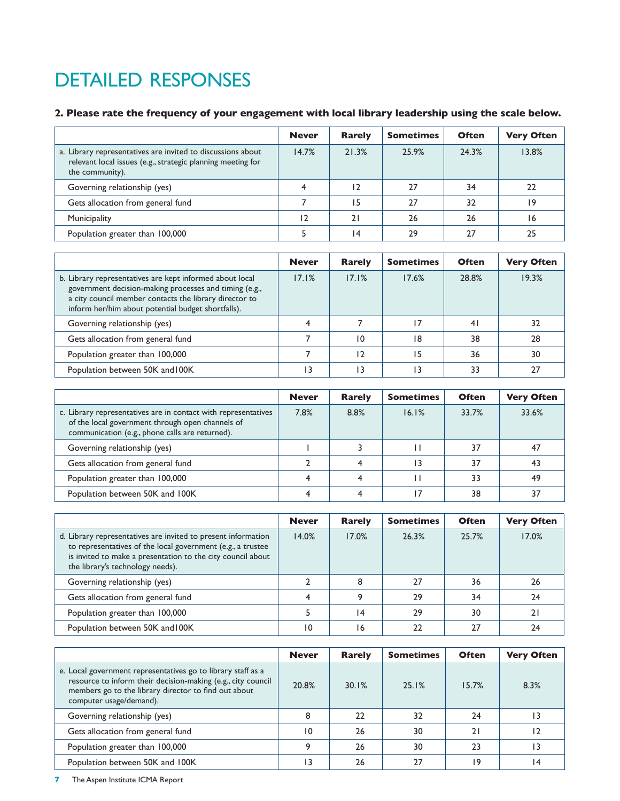# DETAILED RESPONSES

# **2. Please rate the frequency of your engagement with local library leadership using the scale below.**

|                                                                                                                                               | <b>Never</b> | <b>Rarely</b>  | <b>Sometimes</b> | <b>Often</b> | <b>Very Often</b> |
|-----------------------------------------------------------------------------------------------------------------------------------------------|--------------|----------------|------------------|--------------|-------------------|
| a. Library representatives are invited to discussions about<br>relevant local issues (e.g., strategic planning meeting for<br>the community). | 14.7%        | 21.3%          | 25.9%            | 24.3%        | 13.8%             |
| Governing relationship (yes)                                                                                                                  | 4            | $\overline{2}$ | 27               | 34           | 22                |
| Gets allocation from general fund                                                                                                             |              | 15             | 27               | 32           | 19                |
| Municipality                                                                                                                                  | 12           | 2١             | 26               | 26           | 16                |
| Population greater than 100,000                                                                                                               |              | 14             | 29               | 27           | 25                |

|                                                                                                                                                                                                                                    | <b>Never</b> | <b>Rarely</b> | <b>Sometimes</b> | <b>Often</b> | <b>Very Often</b> |
|------------------------------------------------------------------------------------------------------------------------------------------------------------------------------------------------------------------------------------|--------------|---------------|------------------|--------------|-------------------|
| b. Library representatives are kept informed about local<br>government decision-making processes and timing (e.g.,<br>a city council member contacts the library director to<br>inform her/him about potential budget shortfalls). | 17.1%        | 17.1%         | 17.6%            | 28.8%        | 19.3%             |
| Governing relationship (yes)                                                                                                                                                                                                       |              |               |                  | 41           | 32                |
| Gets allocation from general fund                                                                                                                                                                                                  |              | 10            | 18               | 38           | 28                |
| Population greater than 100,000                                                                                                                                                                                                    |              |               |                  | 36           | 30                |
| Population between 50K and 100K                                                                                                                                                                                                    | ۱3           | ۱3            |                  | 33           | 27                |

|                                                                                                                                                                       | <b>Never</b> | <b>Rarely</b> | <b>Sometimes</b> | <b>Often</b> | <b>Very Often</b> |
|-----------------------------------------------------------------------------------------------------------------------------------------------------------------------|--------------|---------------|------------------|--------------|-------------------|
| c. Library representatives are in contact with representatives<br>of the local government through open channels of<br>communication (e.g., phone calls are returned). | 7.8%         | 8.8%          | 16.1%            | 33.7%        | 33.6%             |
| Governing relationship (yes)                                                                                                                                          |              |               |                  | 37           | 47                |
| Gets allocation from general fund                                                                                                                                     |              |               |                  | 37           | 43                |
| Population greater than 100,000                                                                                                                                       |              |               |                  | 33           | 49                |
| Population between 50K and 100K                                                                                                                                       |              |               |                  | 38           | 37                |

|                                                                                                                                                                                                                                 | <b>Never</b> | Rarely | <b>Sometimes</b> | <b>Often</b> | <b>Very Often</b> |
|---------------------------------------------------------------------------------------------------------------------------------------------------------------------------------------------------------------------------------|--------------|--------|------------------|--------------|-------------------|
| d. Library representatives are invited to present information<br>to representatives of the local government (e.g., a trustee<br>is invited to make a presentation to the city council about<br>the library's technology needs). | 14.0%        | 17.0%  | 26.3%            | 25.7%        | 17.0%             |
| Governing relationship (yes)                                                                                                                                                                                                    |              | 8      |                  | 36           | 26                |
| Gets allocation from general fund                                                                                                                                                                                               |              | q      | 29               | 34           | 24                |
| Population greater than 100,000                                                                                                                                                                                                 |              | ۱4     | 29               | 30           | 21                |
| Population between 50K and 100K                                                                                                                                                                                                 | 10           | 16     |                  | 27           | 24                |

|                                                                                                                                                                                                                 | <b>Never</b> | <b>Rarely</b> | <b>Sometimes</b> | <b>Often</b> | <b>Very Often</b> |
|-----------------------------------------------------------------------------------------------------------------------------------------------------------------------------------------------------------------|--------------|---------------|------------------|--------------|-------------------|
| e. Local government representatives go to library staff as a<br>resource to inform their decision-making (e.g., city council<br>members go to the library director to find out about<br>computer usage/demand). | 20.8%        | 30.1%         | 25.1%            | 15.7%        | 8.3%              |
| Governing relationship (yes)                                                                                                                                                                                    | 8            | 22            | 32               | 24           |                   |
| Gets allocation from general fund                                                                                                                                                                               | 10           | 26            | 30               | 21           | 12                |
| Population greater than 100,000                                                                                                                                                                                 | ۰            | 26            | 30               | 23           | ۱3                |
| Population between 50K and 100K                                                                                                                                                                                 | ۱3           | 26            | 27               | 19           | 14                |

**7** The Aspen Institute ICMA Report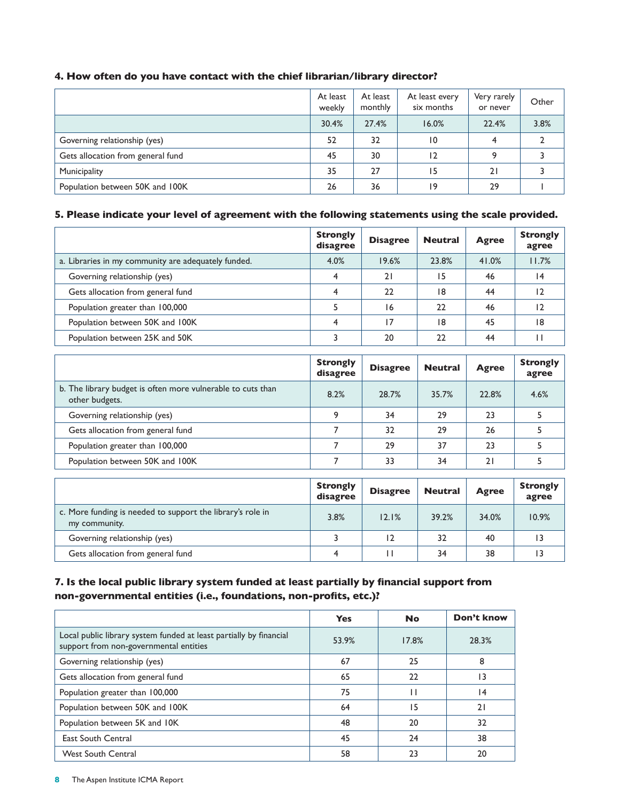|                                   | At least<br>weekly | At least<br>monthly | At least every<br>six months | Very rarely<br>or never | Other |
|-----------------------------------|--------------------|---------------------|------------------------------|-------------------------|-------|
|                                   | 30.4%              | 27.4%               | 16.0%                        | 22.4%                   | 3.8%  |
| Governing relationship (yes)      | 52                 | 32                  | 10                           |                         |       |
| Gets allocation from general fund | 45                 | 30                  | 12                           |                         |       |
| Municipality                      | 35                 | 27                  | 15                           | 21                      |       |
| Population between 50K and 100K   | 26                 | 36                  | 19                           | 29                      |       |

### **4. How often do you have contact with the chief librarian/library director?**

#### **5. Please indicate your level of agreement with the following statements using the scale provided.**

|                                                     | <b>Strongly</b><br>disagree | <b>Disagree</b> | <b>Neutral</b> | <b>Agree</b> | <b>Strongly</b><br>agree |
|-----------------------------------------------------|-----------------------------|-----------------|----------------|--------------|--------------------------|
| a. Libraries in my community are adequately funded. | 4.0%                        | 19.6%           | 23.8%          | 41.0%        | 11.7%                    |
| Governing relationship (yes)                        | 4                           | 21              | 15             | 46           | 14                       |
| Gets allocation from general fund                   | 4                           | 22              | 18             | 44           | 12                       |
| Population greater than 100,000                     |                             | 16              | 22             | 46           |                          |
| Population between 50K and 100K                     | ◢                           | 17              | 18             | 45           | 18                       |
| Population between 25K and 50K                      |                             | 20              | 22             | 44           |                          |

|                                                                               | <b>Strongly</b><br>disagree | <b>Disagree</b> | <b>Neutral</b> | <b>Agree</b> | <b>Strongly</b><br>agree |
|-------------------------------------------------------------------------------|-----------------------------|-----------------|----------------|--------------|--------------------------|
| b. The library budget is often more vulnerable to cuts than<br>other budgets. | 8.2%                        | 28.7%           | 35.7%          | 22.8%        | 4.6%                     |
| Governing relationship (yes)                                                  | ۰                           | 34              | 29             | 23           |                          |
| Gets allocation from general fund                                             |                             | 32              | 29             | 26           |                          |
| Population greater than 100,000                                               |                             | 29              | 37             | 23           |                          |
| Population between 50K and 100K                                               |                             | 33              | 34             | 21           |                          |

|                                                                             | <b>Strongly</b><br>disagree | <b>Disagree</b> | <b>Neutral</b> | <b>Agree</b> | <b>Strongly</b><br>agree |
|-----------------------------------------------------------------------------|-----------------------------|-----------------|----------------|--------------|--------------------------|
| c. More funding is needed to support the library's role in<br>my community. | 3.8%                        | 12.1%           | 39.2%          | 34.0%        | 10.9%                    |
| Governing relationship (yes)                                                |                             | 12              | 32             | 40           |                          |
| Gets allocation from general fund                                           |                             |                 | 34             | 38           |                          |

### **7. Is the local public library system funded at least partially by financial support from non-governmental entities (i.e., foundations, non-profits, etc.)?**

|                                                                                                              | <b>Yes</b> | <b>No</b> | Don't know |
|--------------------------------------------------------------------------------------------------------------|------------|-----------|------------|
| Local public library system funded at least partially by financial<br>support from non-governmental entities | 53.9%      | 17.8%     | 28.3%      |
| Governing relationship (yes)                                                                                 | 67         | 25        | 8          |
| Gets allocation from general fund                                                                            | 65         | 22        | 13         |
| Population greater than 100,000                                                                              | 75         | П         | 14         |
| Population between 50K and 100K                                                                              | 64         | 15        | 21         |
| Population between 5K and 10K                                                                                | 48         | 20        | 32         |
| <b>East South Central</b>                                                                                    | 45         | 24        | 38         |
| <b>West South Central</b>                                                                                    | 58         | 23        | 20         |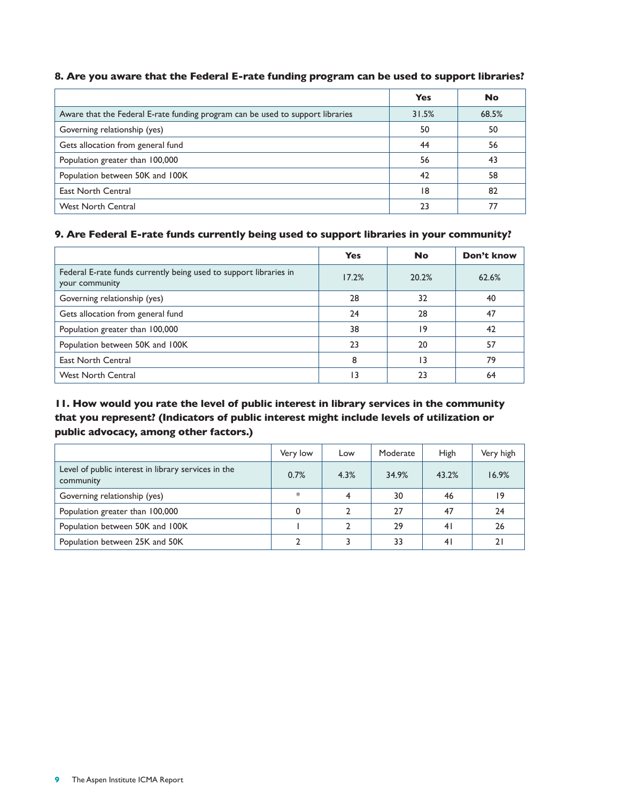|                                                                                | <b>Yes</b> | <b>No</b> |
|--------------------------------------------------------------------------------|------------|-----------|
| Aware that the Federal E-rate funding program can be used to support libraries | 31.5%      | 68.5%     |
| Governing relationship (yes)                                                   | 50         | 50        |
| Gets allocation from general fund                                              | 44         | 56        |
| Population greater than 100,000                                                | 56         | 43        |
| Population between 50K and 100K                                                | 42         | 58        |
| <b>East North Central</b>                                                      | 18         | 82        |
| <b>West North Central</b>                                                      | 23         |           |

#### **8. Are you aware that the Federal E-rate funding program can be used to support libraries?**

### **9. Are Federal E-rate funds currently being used to support libraries in your community?**

|                                                                                     | <b>Yes</b> | No              | Don't know |
|-------------------------------------------------------------------------------------|------------|-----------------|------------|
| Federal E-rate funds currently being used to support libraries in<br>your community | 17.2%      | 20.2%           | 62.6%      |
| Governing relationship (yes)                                                        | 28         | 32              | 40         |
| Gets allocation from general fund                                                   | 24         | 28              | 47         |
| Population greater than 100,000                                                     | 38         | 19              | 42         |
| Population between 50K and 100K                                                     | 23         | 20              | 57         |
| <b>East North Central</b>                                                           | 8          | $\overline{13}$ | 79         |
| <b>West North Central</b>                                                           | 3          | つろ              | 64         |

## **11. How would you rate the level of public interest in library services in the community that you represent? (Indicators of public interest might include levels of utilization or public advocacy, among other factors.)**

|                                                                  | Very low | Low  | Moderate | High           | Very high |
|------------------------------------------------------------------|----------|------|----------|----------------|-----------|
| Level of public interest in library services in the<br>community | 0.7%     | 4.3% | 34.9%    | 43.2%          | 16.9%     |
| Governing relationship (yes)                                     | $\ast$   |      | 30       | 46             | 19        |
| Population greater than 100,000                                  |          |      | 27       | 47             | 24        |
| Population between 50K and 100K                                  |          |      | 29       | 41             | 26        |
| Population between 25K and 50K                                   |          |      | 33       | 4 <sub>1</sub> |           |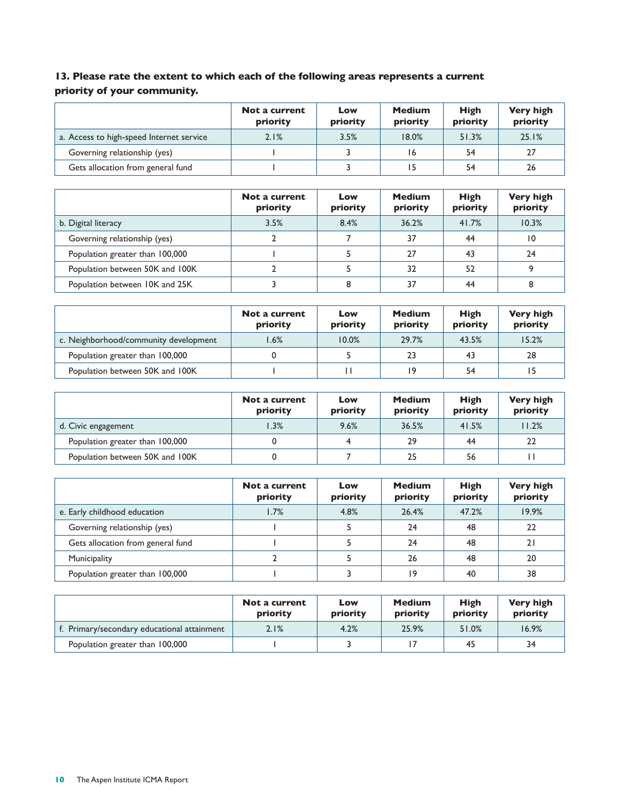# **13. Please rate the extent to which each of the following areas represents a current priority of your community.**

|                                          | Not a current<br>priority | Low<br>priority | <b>Medium</b><br>priority | High<br>priority | <b>Very high</b><br>priority |
|------------------------------------------|---------------------------|-----------------|---------------------------|------------------|------------------------------|
| a. Access to high-speed Internet service | 2.1%                      | 3.5%            | 18.0%                     | 51.3%            | 25.1%                        |
| Governing relationship (yes)             |                           |                 | 16                        | 54               | 27                           |
| Gets allocation from general fund        |                           |                 | 15                        | 54               | 26                           |

|                                 | Not a current<br>priority | Low<br>priority | <b>Medium</b><br>priority | <b>High</b><br>priority | <b>Very high</b><br>priority |
|---------------------------------|---------------------------|-----------------|---------------------------|-------------------------|------------------------------|
| b. Digital literacy             | 3.5%                      | 8.4%            | 36.2%                     | 41.7%                   | 10.3%                        |
| Governing relationship (yes)    |                           |                 | 37                        | 44                      | $\overline{10}$              |
| Population greater than 100,000 |                           |                 | 27                        | 43                      | 24                           |
| Population between 50K and 100K |                           |                 | 32                        | 52                      | 9                            |
| Population between 10K and 25K  |                           |                 | 37                        | 44                      | 8                            |

|                                       | Not a current<br>priority | Low<br>priority | <b>Medium</b><br>priority | <b>High</b><br>priority | <b>Very high</b><br>priority |
|---------------------------------------|---------------------------|-----------------|---------------------------|-------------------------|------------------------------|
| c. Neighborhood/community development | $1.6\%$                   | 10.0%           | 29.7%                     | 43.5%                   | 15.2%                        |
| Population greater than 100,000       |                           |                 | 23                        | 43                      | 28                           |
| Population between 50K and 100K       |                           |                 | 19                        | 54                      | 15                           |

|                                 | Not a current<br>priority | Low<br>priority | <b>Medium</b><br>priority | <b>High</b><br>priority | <b>Very high</b><br>priority |
|---------------------------------|---------------------------|-----------------|---------------------------|-------------------------|------------------------------|
| d. Civic engagement             | 1.3%                      | 9.6%            | 36.5%                     | 41.5%                   | 11.2%                        |
| Population greater than 100,000 |                           |                 | 29                        | 44                      | 22                           |
| Population between 50K and 100K |                           |                 | 25                        | 56                      |                              |

|                                   | Not a current<br>priority | Low<br>priority | <b>Medium</b><br>priority | <b>High</b><br>priority | <b>Very high</b><br>priority |
|-----------------------------------|---------------------------|-----------------|---------------------------|-------------------------|------------------------------|
| e. Early childhood education      | 1.7%                      | 4.8%            | 26.4%                     | 47.2%                   | 19.9%                        |
| Governing relationship (yes)      |                           |                 | 24                        | 48                      | 22                           |
| Gets allocation from general fund |                           |                 | 24                        | 48                      | 21                           |
| Municipality                      |                           |                 | 26                        | 48                      | 20                           |
| Population greater than 100,000   |                           |                 | 19                        | 40                      | 38                           |

|                                             | Not a current<br>priority | Low<br>priority | <b>Medium</b><br>priority | <b>High</b><br>priority | <b>Very high</b><br>priority |
|---------------------------------------------|---------------------------|-----------------|---------------------------|-------------------------|------------------------------|
| f. Primary/secondary educational attainment | 2.1%                      | 4.2%            | 25.9%                     | 51.0%                   | 16.9%                        |
| Population greater than 100,000             |                           |                 |                           | 45                      | 34                           |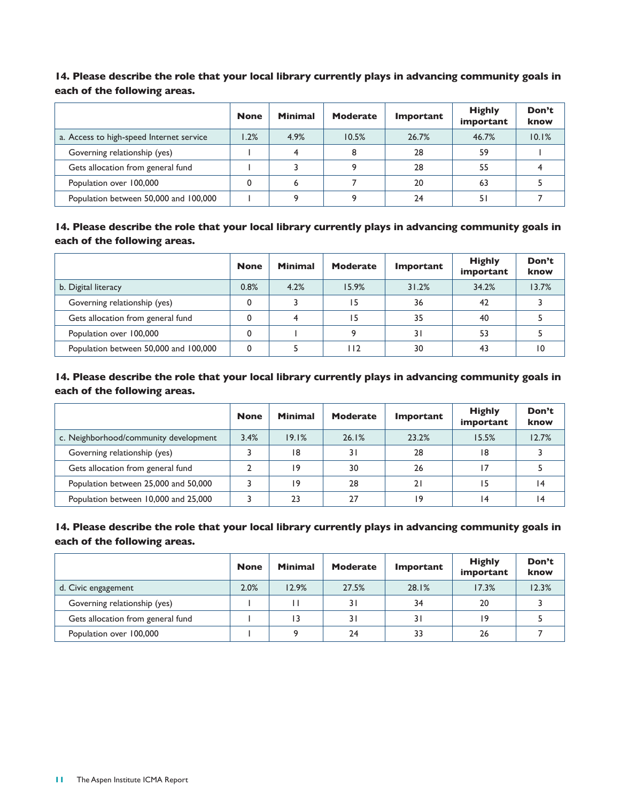**14. Please describe the role that your local library currently plays in advancing community goals in each of the following areas.**

|                                          | <b>None</b> | <b>Minimal</b> | <b>Moderate</b> | Important | <b>Highly</b><br>important | Don't<br>know |
|------------------------------------------|-------------|----------------|-----------------|-----------|----------------------------|---------------|
| a. Access to high-speed Internet service | $1.2\%$     | 4.9%           | 10.5%           | 26.7%     | 46.7%                      | 10.1%         |
| Governing relationship (yes)             |             |                |                 | 28        | 59                         |               |
| Gets allocation from general fund        |             |                |                 | 28        | 55                         |               |
| Population over 100,000                  |             |                |                 | 20        | 63                         |               |
| Population between 50,000 and 100,000    |             |                |                 | 24        |                            |               |

**14. Please describe the role that your local library currently plays in advancing community goals in each of the following areas.**

|                                       | <b>None</b> | <b>Minimal</b> | <b>Moderate</b> | Important | <b>Highly</b><br>important | Don't<br>know |
|---------------------------------------|-------------|----------------|-----------------|-----------|----------------------------|---------------|
| b. Digital literacy                   | 0.8%        | 4.2%           | 15.9%           | 31.2%     | 34.2%                      | 13.7%         |
| Governing relationship (yes)          | 0           |                | 15              | 36        | 42                         |               |
| Gets allocation from general fund     | 0           |                | 15              | 35        | 40                         |               |
| Population over 100,000               | 0           |                |                 | 31        | 53                         |               |
| Population between 50,000 and 100,000 | 0           |                | l I 2           | 30        | 43                         | 10            |

**14. Please describe the role that your local library currently plays in advancing community goals in each of the following areas.**

|                                       | <b>None</b> | <b>Minimal</b> | Moderate | <b>Important</b> | <b>Highly</b><br>important | Don't<br>know |
|---------------------------------------|-------------|----------------|----------|------------------|----------------------------|---------------|
| c. Neighborhood/community development | 3.4%        | 19.1%          | 26.1%    | 23.2%            | 15.5%                      | 12.7%         |
| Governing relationship (yes)          |             | 18             | 31       | 28               | 18                         |               |
| Gets allocation from general fund     |             | 19             | 30       | 26               |                            |               |
| Population between 25,000 and 50,000  |             | 19             | 28       | 21               |                            | 14            |
| Population between 10,000 and 25,000  |             | 23             | 27       | ۱9               | $\overline{4}$             | ۱4            |

### **14. Please describe the role that your local library currently plays in advancing community goals in each of the following areas.**

|                                   | <b>None</b> | <b>Minimal</b> | <b>Moderate</b> | Important | <b>Highly</b><br>important | Don't<br>know |
|-----------------------------------|-------------|----------------|-----------------|-----------|----------------------------|---------------|
| d. Civic engagement               | 2.0%        | 12.9%          | 27.5%           | 28.1%     | 17.3%                      | 12.3%         |
| Governing relationship (yes)      |             |                | 31              | 34        | 20                         |               |
| Gets allocation from general fund |             | 13             |                 | 31        | 19                         |               |
| Population over 100,000           |             |                | 24              | 33        | 26                         |               |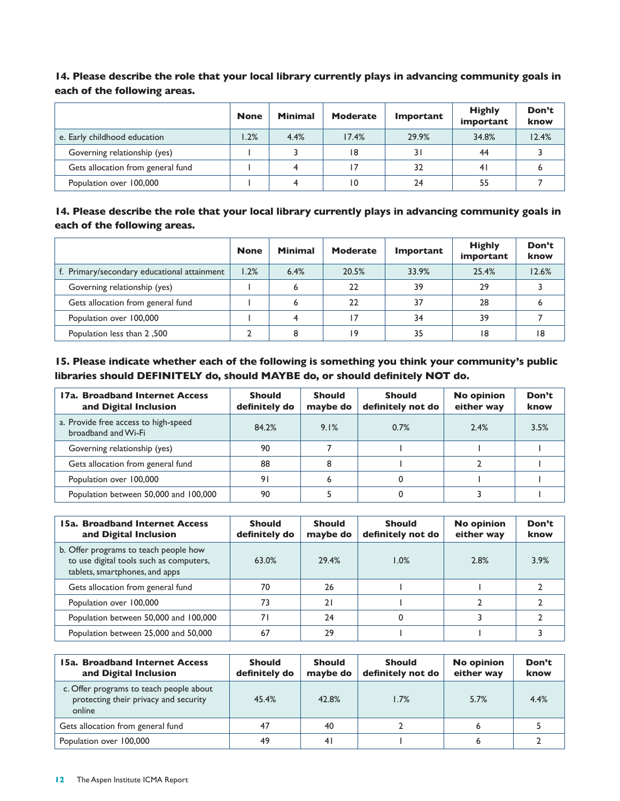**14. Please describe the role that your local library currently plays in advancing community goals in each of the following areas.**

|                                   | <b>None</b> | <b>Minimal</b> | <b>Moderate</b> | Important | <b>Highly</b><br>important | Don't<br>know |
|-----------------------------------|-------------|----------------|-----------------|-----------|----------------------------|---------------|
| e. Early childhood education      | 1.2%        | 4.4%           | 17.4%           | 29.9%     | 34.8%                      | 12.4%         |
| Governing relationship (yes)      |             |                | 18              | 31        | 44                         |               |
| Gets allocation from general fund |             |                | 17              | 32        | 4 <sup>1</sup>             |               |
| Population over 100,000           |             |                | 10              | 24        | 55                         |               |

**14. Please describe the role that your local library currently plays in advancing community goals in each of the following areas.**

|                                             | <b>None</b> | <b>Minimal</b> | <b>Moderate</b> | <b>Important</b> | <b>Highly</b><br>important | Don't<br>know |
|---------------------------------------------|-------------|----------------|-----------------|------------------|----------------------------|---------------|
| f. Primary/secondary educational attainment | 1.2%        | 6.4%           | 20.5%           | 33.9%            | 25.4%                      | 12.6%         |
| Governing relationship (yes)                |             |                | 22              | 39               | 29                         |               |
| Gets allocation from general fund           |             |                | 22              | 37               | 28                         |               |
| Population over 100,000                     |             |                | 17              | 34               | 39                         |               |
| <b>Population less than 2,500</b>           |             |                | 19              | 35               | 18                         | 18            |

**15. Please indicate whether each of the following is something you think your community's public libraries should DEFINITELY do, should MAYBE do, or should definitely NOT do.**

| 17a. Broadband Internet Access<br>and Digital Inclusion     | <b>Should</b><br>definitely do | <b>Should</b><br>maybe do | <b>Should</b><br>definitely not do | <b>No opinion</b><br>either way | Don't<br>know |
|-------------------------------------------------------------|--------------------------------|---------------------------|------------------------------------|---------------------------------|---------------|
| a. Provide free access to high-speed<br>broadband and Wi-Fi | 84.2%                          | 9.1%                      | 0.7%                               | 2.4%                            | 3.5%          |
| Governing relationship (yes)                                | 90                             |                           |                                    |                                 |               |
| Gets allocation from general fund                           | 88                             | 8                         |                                    |                                 |               |
| Population over 100,000                                     | 91                             | ь                         |                                    |                                 |               |
| Population between 50,000 and 100,000                       | 90                             |                           |                                    |                                 |               |

| <b>15a. Broadband Internet Access</b><br>and Digital Inclusion                                                     | <b>Should</b><br>definitely do | <b>Should</b><br>maybe do | <b>Should</b><br>definitely not do | <b>No opinion</b><br>either way | Don't<br>know |
|--------------------------------------------------------------------------------------------------------------------|--------------------------------|---------------------------|------------------------------------|---------------------------------|---------------|
| b. Offer programs to teach people how<br>to use digital tools such as computers,<br>tablets, smartphones, and apps | 63.0%                          | 29.4%                     | 1.0%                               | 2.8%                            | 3.9%          |
| Gets allocation from general fund                                                                                  | 70                             | 26                        |                                    |                                 |               |
| Population over 100,000                                                                                            | 73                             | 21                        |                                    |                                 |               |
| Population between 50,000 and 100,000                                                                              | 71                             | 24                        |                                    |                                 |               |
| Population between 25,000 and 50,000                                                                               | 67                             | 29                        |                                    |                                 |               |

| 15a. Broadband Internet Access<br>and Digital Inclusion                                    | <b>Should</b><br>definitely do | <b>Should</b><br>maybe do | <b>Should</b><br>definitely not do | <b>No opinion</b><br>either way | Don't<br>know |
|--------------------------------------------------------------------------------------------|--------------------------------|---------------------------|------------------------------------|---------------------------------|---------------|
| c. Offer programs to teach people about<br>protecting their privacy and security<br>online | 45.4%                          | 42.8%                     | 1.7%                               | 5.7%                            | 4.4%          |
| Gets allocation from general fund                                                          | 47                             | 40                        |                                    |                                 |               |
| Population over 100,000                                                                    | 49                             | 41                        |                                    |                                 |               |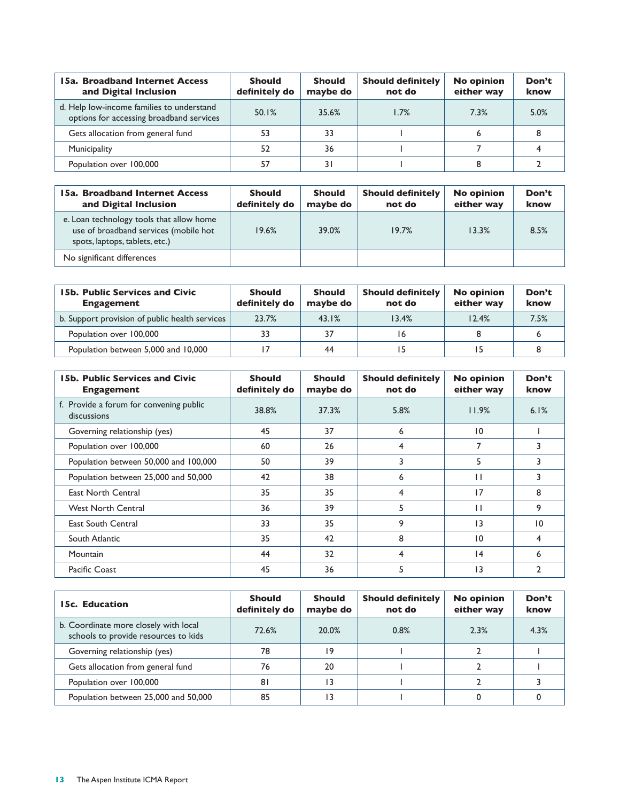| 15a. Broadband Internet Access<br>and Digital Inclusion                               | <b>Should</b><br>definitely do | <b>Should</b><br>maybe do | <b>Should definitely</b><br>not do | <b>No opinion</b><br>either way | Don't<br>know |
|---------------------------------------------------------------------------------------|--------------------------------|---------------------------|------------------------------------|---------------------------------|---------------|
| d. Help low-income families to understand<br>options for accessing broadband services | 50.1%                          | 35.6%                     | 1.7%                               | 7.3%                            | 5.0%          |
| Gets allocation from general fund                                                     | 53                             | 33                        |                                    |                                 |               |
| Municipality                                                                          | 52                             | 36                        |                                    |                                 |               |
| Population over 100,000                                                               | 57                             | 31                        |                                    |                                 |               |

| <b>15a. Broadband Internet Access</b><br>and Digital Inclusion                                                      | <b>Should</b><br>definitely do | <b>Should</b><br>maybe do | <b>Should definitely</b><br>not do | <b>No opinion</b><br>either way | Don't<br>know |
|---------------------------------------------------------------------------------------------------------------------|--------------------------------|---------------------------|------------------------------------|---------------------------------|---------------|
| e. Loan technology tools that allow home<br>use of broadband services (mobile hot<br>spots, laptops, tablets, etc.) | 19.6%                          | 39.0%                     | 19.7%                              | 13.3%                           | 8.5%          |
| No significant differences                                                                                          |                                |                           |                                    |                                 |               |

| <b>15b. Public Services and Civic</b><br><b>Engagement</b> | <b>Should</b><br>definitely do | <b>Should</b><br>maybe do | <b>Should definitely</b><br>not do | <b>No opinion</b><br>either way | Don't<br>know |
|------------------------------------------------------------|--------------------------------|---------------------------|------------------------------------|---------------------------------|---------------|
| b. Support provision of public health services             | 23.7%                          | 43.1%                     | 13.4%                              | 12.4%                           | 7.5%          |
| Population over 100,000                                    | 33                             | 37                        |                                    |                                 |               |
| Population between 5,000 and 10,000                        |                                | 44                        |                                    |                                 |               |

| <b>15b. Public Services and Civic</b><br><b>Engagement</b> | <b>Should</b><br>definitely do | <b>Should</b><br>maybe do | <b>Should definitely</b><br>not do | <b>No opinion</b><br>either way | Don't<br>know |
|------------------------------------------------------------|--------------------------------|---------------------------|------------------------------------|---------------------------------|---------------|
| f. Provide a forum for convening public<br>discussions     | 38.8%                          | 37.3%                     | 5.8%                               | 11.9%                           | 6.1%          |
| Governing relationship (yes)                               | 45                             | 37                        | 6                                  | 10                              |               |
| Population over 100,000                                    | 60                             | 26                        | 4                                  | 7                               |               |
| Population between 50,000 and 100,000                      | 50                             | 39                        | 3                                  | 5                               |               |
| Population between 25,000 and 50,000                       | 42                             | 38                        | 6                                  | П                               |               |
| <b>East North Central</b>                                  | 35                             | 35                        | 4                                  | 17                              | 8             |
| <b>West North Central</b>                                  | 36                             | 39                        | 5                                  | П                               | 9             |
| <b>East South Central</b>                                  | 33                             | 35                        | 9                                  | 13                              | 10            |
| South Atlantic                                             | 35                             | 42                        | 8                                  | 10                              | 4             |
| <b>Mountain</b>                                            | 44                             | 32                        | 4                                  | 4                               | 6             |
| Pacific Coast                                              | 45                             | 36                        | 5                                  | 13                              |               |

| 15c. Education                                                                | <b>Should</b><br>definitely do | <b>Should</b><br>maybe do | <b>Should definitely</b><br>not do | <b>No opinion</b><br>either way | Don't<br>know |
|-------------------------------------------------------------------------------|--------------------------------|---------------------------|------------------------------------|---------------------------------|---------------|
| b. Coordinate more closely with local<br>schools to provide resources to kids | 72.6%                          | 20.0%                     | 0.8%                               | 2.3%                            | 4.3%          |
| Governing relationship (yes)                                                  | 78                             | 19                        |                                    |                                 |               |
| Gets allocation from general fund                                             | 76                             | 20                        |                                    |                                 |               |
| Population over 100,000                                                       | 81                             | 13                        |                                    |                                 |               |
| Population between 25,000 and 50,000                                          | 85                             | 13                        |                                    |                                 |               |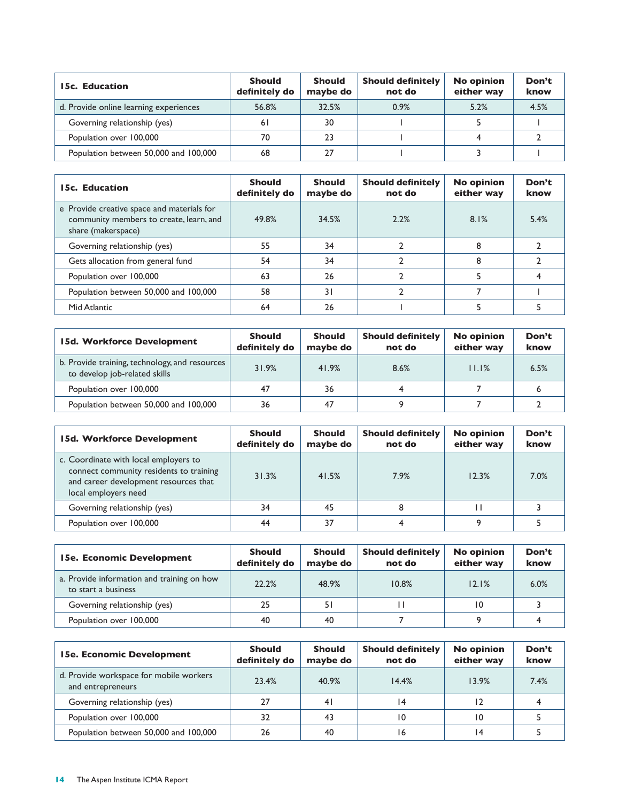| 15c. Education                         | <b>Should</b><br>definitely do | <b>Should</b><br>maybe do | <b>Should definitely</b><br>not do | <b>No opinion</b><br>either way | Don't<br>know |
|----------------------------------------|--------------------------------|---------------------------|------------------------------------|---------------------------------|---------------|
| d. Provide online learning experiences | 56.8%                          | 32.5%                     | 0.9%                               | 5.2%                            | 4.5%          |
| Governing relationship (yes)           | 61                             | 30                        |                                    |                                 |               |
| Population over 100,000                | 70                             | 23                        |                                    |                                 |               |
| Population between 50,000 and 100,000  | 68                             | 27                        |                                    |                                 |               |

| 15c. Education                                                                                              | <b>Should</b><br>definitely do | <b>Should</b><br>maybe do | <b>Should definitely</b><br>not do | <b>No opinion</b><br>either way | Don't<br>know |
|-------------------------------------------------------------------------------------------------------------|--------------------------------|---------------------------|------------------------------------|---------------------------------|---------------|
| e Provide creative space and materials for<br>community members to create, learn, and<br>share (makerspace) | 49.8%                          | 34.5%                     | 2.2%                               | 8.1%                            | 5.4%          |
| Governing relationship (yes)                                                                                | 55                             | 34                        |                                    | 8                               |               |
| Gets allocation from general fund                                                                           | 54                             | 34                        |                                    | 8                               |               |
| Population over 100,000                                                                                     | 63                             | 26                        |                                    |                                 |               |
| Population between 50,000 and 100,000                                                                       | 58                             | 31                        |                                    |                                 |               |
| Mid Atlantic                                                                                                | 64                             | 26                        |                                    |                                 |               |

| 15d. Workforce Development                                                      | <b>Should</b><br>definitely do | <b>Should</b><br>maybe do | <b>Should definitely</b><br>not do | <b>No opinion</b><br>either way | Don't<br>know |
|---------------------------------------------------------------------------------|--------------------------------|---------------------------|------------------------------------|---------------------------------|---------------|
| b. Provide training, technology, and resources<br>to develop job-related skills | 31.9%                          | 41.9%                     | 8.6%                               | 11.1%                           | 6.5%          |
| Population over 100,000                                                         | 47                             | 36                        |                                    |                                 |               |
| Population between 50,000 and 100,000                                           | 36                             | 47                        |                                    |                                 |               |

| 15d. Workforce Development                                                                                                                        | <b>Should</b><br>definitely do | <b>Should</b><br>maybe do | <b>Should definitely</b><br>not do | <b>No opinion</b><br>either way | Don't<br>know |
|---------------------------------------------------------------------------------------------------------------------------------------------------|--------------------------------|---------------------------|------------------------------------|---------------------------------|---------------|
| c. Coordinate with local employers to<br>connect community residents to training<br>and career development resources that<br>local employers need | 31.3%                          | 41.5%                     | 7.9%                               | 12.3%                           | 7.0%          |
| Governing relationship (yes)                                                                                                                      | 34                             | 45                        |                                    |                                 |               |
| Population over 100,000                                                                                                                           | 44                             | 37                        |                                    | Q                               |               |

| 15e. Economic Development                                         | <b>Should</b><br>definitely do | <b>Should</b><br>maybe do | <b>Should definitely</b><br>not do | <b>No opinion</b><br>either way | Don't<br>know |
|-------------------------------------------------------------------|--------------------------------|---------------------------|------------------------------------|---------------------------------|---------------|
| a. Provide information and training on how<br>to start a business | 22.2%                          | 48.9%                     | 10.8%                              | 12.1%                           | 6.0%          |
| Governing relationship (yes)                                      | 25                             | 51                        |                                    | 10                              |               |
| Population over 100,000                                           | 40                             | 40                        |                                    |                                 |               |

| <b>15e. Economic Development</b>                             | <b>Should</b><br>definitely do | <b>Should</b><br>maybe do | <b>Should definitely</b><br>not do | <b>No opinion</b><br>either way | Don't<br>know |
|--------------------------------------------------------------|--------------------------------|---------------------------|------------------------------------|---------------------------------|---------------|
| d. Provide workspace for mobile workers<br>and entrepreneurs | 23.4%                          | 40.9%                     | 14.4%                              | 13.9%                           | 7.4%          |
| Governing relationship (yes)                                 | 27                             | 41                        | 14                                 |                                 |               |
| Population over 100,000                                      | 32                             | 43                        | 10                                 | 10                              |               |
| Population between 50,000 and 100,000                        | 26                             | 40                        | 16                                 | 14                              |               |